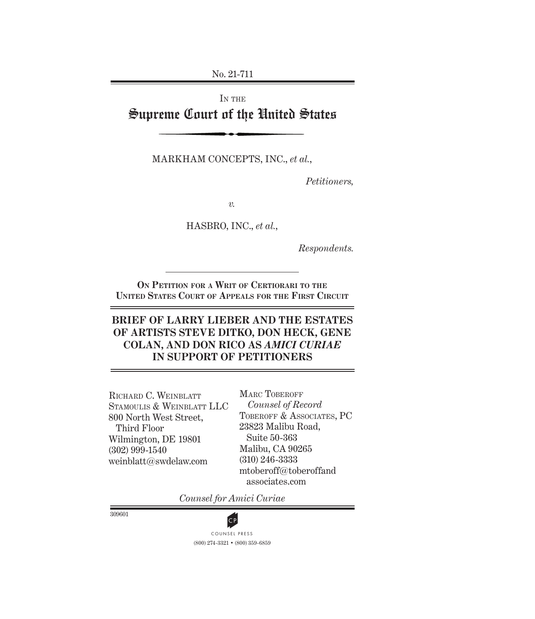No. 21-711

# IN THE Supreme Court of the United States

Markham Concepts, Inc., *et al.*,

*Petitioners,*

*v.*

Hasbro, Inc., *et al.*,

*Respondents.*

**On Petition for a Writ of Certiorari to the United States Court of Appeals for the First Circuit**

# **BRIEF OF LARRY LIEBER AND THE ESTATES OF ARTISTS STEVE DITKO, DON HECK, GENE COLAN, AND DON RICO AS** *AMICI CURIAE* **IN SUPPORT OF PETITIONERS**

Richard C. Weinblatt Stamoulis & Weinblatt LLC 800 North West Street, Third Floor Wilmington, DE 19801 (302) 999-1540 weinblatt@swdelaw.com

MARC TOBEROFF *Counsel of Record* TOBEROFF & ASSOCIATES, PC 23823 Malibu Road, Suite 50-363 Malibu, CA 90265 (310) 246-3333 mtoberoff@toberoffand associates.com

*Counsel for Amici Curiae*

309601



(800) 274-3321 • (800) 359-6859 **CP**<br>COUNSEL PRESS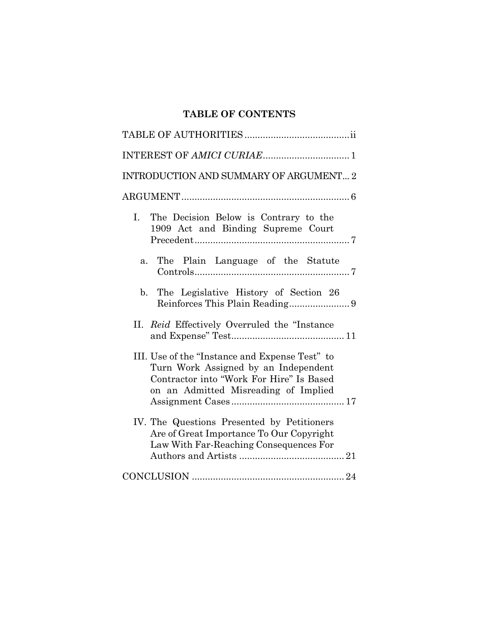# **TABLE OF CONTENTS**

| INTRODUCTION AND SUMMARY OF ARGUMENT 2                                                                                                                                     |
|----------------------------------------------------------------------------------------------------------------------------------------------------------------------------|
|                                                                                                                                                                            |
| The Decision Below is Contrary to the<br>$\mathbf{I}$ .<br>1909 Act and Binding Supreme Court                                                                              |
| The Plain Language of the Statute<br>a.                                                                                                                                    |
| b. The Legislative History of Section 26                                                                                                                                   |
| II. Reid Effectively Overruled the "Instance                                                                                                                               |
| III. Use of the "Instance and Expense Test" to<br>Turn Work Assigned by an Independent<br>Contractor into "Work For Hire" Is Based<br>on an Admitted Misreading of Implied |
| IV. The Questions Presented by Petitioners<br>Are of Great Importance To Our Copyright<br>Law With Far-Reaching Consequences For                                           |
|                                                                                                                                                                            |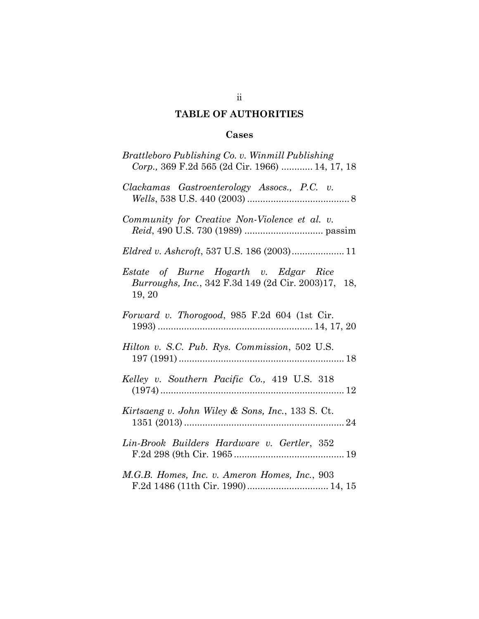# **TABLE OF AUTHORITIES**

# **Cases**

| Brattleboro Publishing Co. v. Winmill Publishing<br>Corp., 369 F.2d 565 (2d Cir. 1966)  14, 17, 18     |
|--------------------------------------------------------------------------------------------------------|
| Clackamas Gastroenterology Assocs., P.C. v.                                                            |
| Community for Creative Non-Violence et al. v.                                                          |
|                                                                                                        |
| Estate of Burne Hogarth v. Edgar Rice<br>Burroughs, Inc., 342 F.3d 149 (2d Cir. 2003)17, 18,<br>19, 20 |
| Forward v. Thorogood, 985 F.2d 604 (1st Cir.                                                           |
| Hilton v. S.C. Pub. Rys. Commission, 502 U.S.                                                          |
| Kelley v. Southern Pacific Co., 419 U.S. 318                                                           |
| Kirtsaeng v. John Wiley & Sons, Inc., 133 S. Ct.                                                       |
| Lin-Brook Builders Hardware v. Gertler, 352                                                            |
| M.G.B. Homes, Inc. v. Ameron Homes, Inc., 903<br>F.2d 1486 (11th Cir. 1990) 14, 15                     |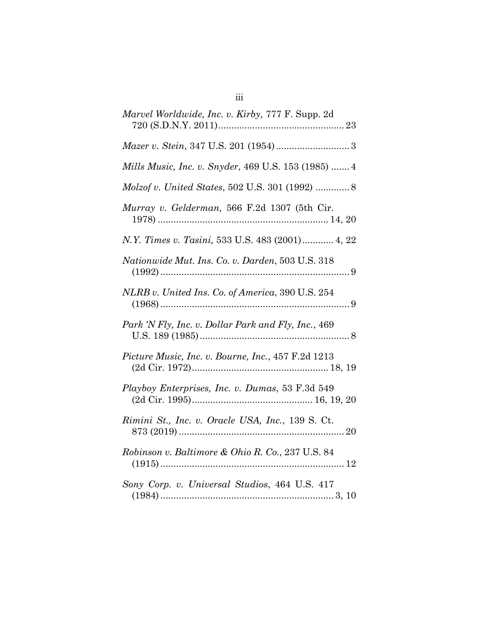| Marvel Worldwide, Inc. v. Kirby, 777 F. Supp. 2d    |
|-----------------------------------------------------|
|                                                     |
| Mills Music, Inc. v. Snyder, 469 U.S. 153 (1985)  4 |
| Molzof v. United States, 502 U.S. 301 (1992)  8     |
| Murray v. Gelderman, 566 F.2d 1307 (5th Cir.        |
| N.Y. Times v. Tasini, 533 U.S. 483 (2001) 4, 22     |
| Nationwide Mut. Ins. Co. v. Darden, 503 U.S. 318    |
| NLRB v. United Ins. Co. of America, 390 U.S. 254    |
| Park 'N Fly, Inc. v. Dollar Park and Fly, Inc., 469 |
| Picture Music, Inc. v. Bourne, Inc., 457 F.2d 1213  |
| Playboy Enterprises, Inc. v. Dumas, 53 F.3d 549     |
| Rimini St., Inc. v. Oracle USA, Inc., 139 S. Ct.    |
| Robinson v. Baltimore & Ohio R. Co., 237 U.S. 84    |
| Sony Corp. v. Universal Studios, 464 U.S. 417       |

iii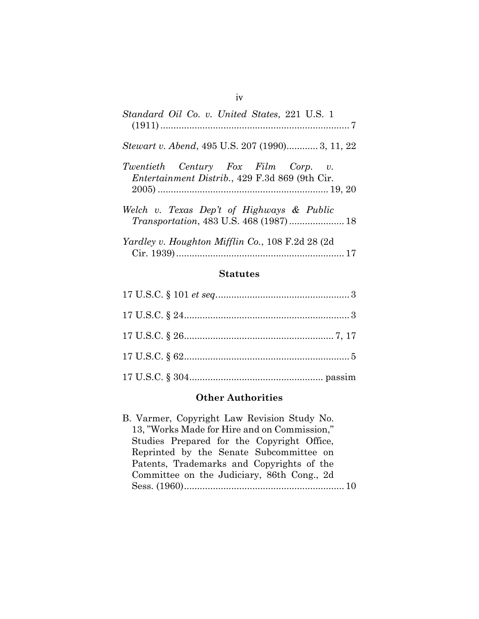| Standard Oil Co. v. United States, 221 U.S. 1                                                 |
|-----------------------------------------------------------------------------------------------|
| <i>Stewart v. Abend, 495 U.S. 207 (1990)</i> 3, 11, 22                                        |
| Twentieth Century Fox Film Corp. v.<br><i>Entertainment Distrib.</i> , 429 F.3d 869 (9th Cir. |
| Welch v. Texas Dep't of Highways & Public<br>Transportation, 483 U.S. 468 (1987)  18          |
| <i>Yardley v. Houghton Mifflin Co., 108 F.2d 28 (2d)</i>                                      |

#### **Statutes**

### **Other Authorities**

B. Varmer, Copyright Law Revision Study No. 13, "Works Made for Hire and on Commission," Studies Prepared for the Copyright Office, Reprinted by the Senate Subcommittee on Patents, Trademarks and Copyrights of the Committee on the Judiciary, 86th Cong., 2d Sess. (1960)............................................................. 10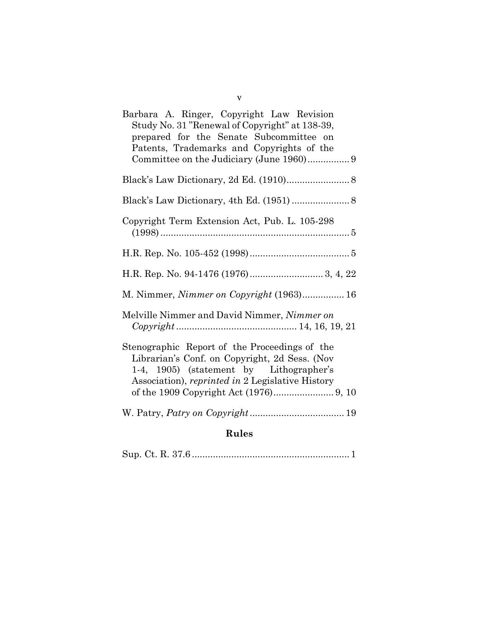| Barbara A. Ringer, Copyright Law Revision<br>Study No. 31 "Renewal of Copyright" at 138-39,<br>prepared for the Senate Subcommittee on<br>Patents, Trademarks and Copyrights of the           |
|-----------------------------------------------------------------------------------------------------------------------------------------------------------------------------------------------|
|                                                                                                                                                                                               |
| Black's Law Dictionary, 2d Ed. (1910) 8                                                                                                                                                       |
| Black's Law Dictionary, 4th Ed. (1951)  8                                                                                                                                                     |
| Copyright Term Extension Act, Pub. L. 105-298                                                                                                                                                 |
|                                                                                                                                                                                               |
|                                                                                                                                                                                               |
| M. Nimmer, <i>Nimmer on Copyright</i> (1963) 16                                                                                                                                               |
| Melville Nimmer and David Nimmer, Nimmer on                                                                                                                                                   |
| Stenographic Report of the Proceedings of the<br>Librarian's Conf. on Copyright, 2d Sess. (Nov<br>1-4, 1905) (statement by Lithographer's<br>Association), reprinted in 2 Legislative History |
|                                                                                                                                                                                               |
| <b>Rules</b>                                                                                                                                                                                  |

|--|--|

v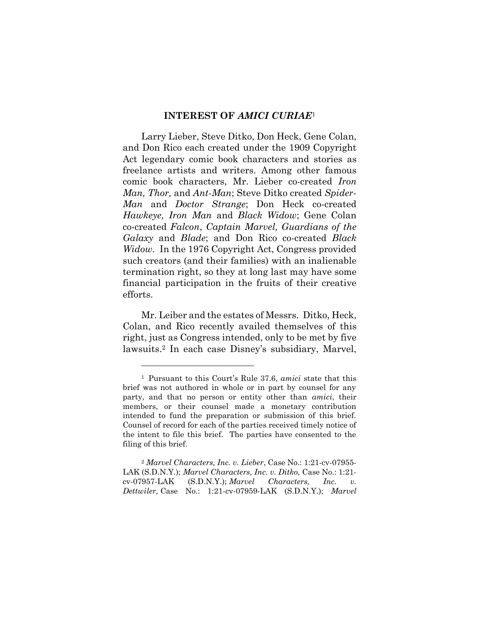### **INTEREST OF** *AMICI CURIAE*<sup>1</sup>

Larry Lieber, Steve Ditko, Don Heck, Gene Colan, and Don Rico each created under the 1909 Copyright Act legendary comic book characters and stories as freelance artists and writers. Among other famous comic book characters, Mr. Lieber co-created *Iron Man, Thor,* and *Ant-Man*; Steve Ditko created *Spider-Man* and *Doctor Strange*; Don Heck co-created *Hawkeye, Iron Man* and *Black Widow*; Gene Colan co-created *Falcon*, *Captain Marvel, Guardians of the Galaxy* and *Blade*; and Don Rico co-created *Black Widow*. In the 1976 Copyright Act, Congress provided such creators (and their families) with an inalienable termination right, so they at long last may have some financial participation in the fruits of their creative efforts.

Mr. Leiber and the estates of Messrs. Ditko, Heck, Colan, and Rico recently availed themselves of this right, just as Congress intended, only to be met by five lawsuits. <sup>2</sup> In each case Disney's subsidiary, Marvel,

<sup>1</sup> Pursuant to this Court's Rule 37.6, *amici* state that this brief was not authored in whole or in part by counsel for any party, and that no person or entity other than *amici*, their members, or their counsel made a monetary contribution intended to fund the preparation or submission of this brief. Counsel of record for each of the parties received timely notice of the intent to file this brief. The parties have consented to the filing of this brief.

<sup>2</sup> *Marvel Characters, Inc. v. Lieber*, Case No.: 1:21-cv-07955- LAK (S.D.N.Y.); *Marvel Characters, Inc. v. Ditko,* Case No.: 1:21 cv-07957-LAK (S.D.N.Y.); *Marvel Characters, Inc. v. Dettwiler,* Case No.: 1:21-cv-07959-LAK (S.D.N.Y.); *Marvel*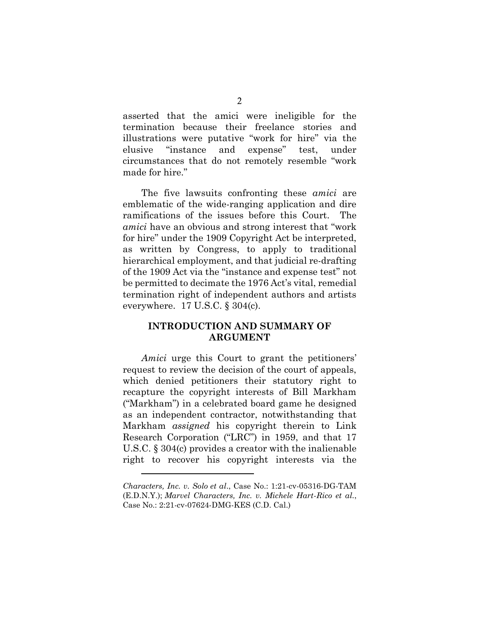asserted that the amici were ineligible for the termination because their freelance stories and illustrations were putative "work for hire" via the elusive "instance and expense" test, under circumstances that do not remotely resemble "work made for hire."

The five lawsuits confronting these *amici* are emblematic of the wide-ranging application and dire ramifications of the issues before this Court. The *amici* have an obvious and strong interest that "work for hire" under the 1909 Copyright Act be interpreted, as written by Congress, to apply to traditional hierarchical employment, and that judicial re-drafting of the 1909 Act via the "instance and expense test" not be permitted to decimate the 1976 Act's vital, remedial termination right of independent authors and artists everywhere. 17 U.S.C. § 304(c).

### **INTRODUCTION AND SUMMARY OF ARGUMENT**

*Amici* urge this Court to grant the petitioners' request to review the decision of the court of appeals, which denied petitioners their statutory right to recapture the copyright interests of Bill Markham ("Markham") in a celebrated board game he designed as an independent contractor, notwithstanding that Markham *assigned* his copyright therein to Link Research Corporation ("LRC") in 1959, and that 17 U.S.C. § 304(c) provides a creator with the inalienable right to recover his copyright interests via the

*Characters, Inc. v. Solo et al*., Case No.: 1:21-cv-05316-DG-TAM (E.D.N.Y.); *Marvel Characters, Inc. v. Michele Hart-Rico et al.*, Case No.: 2:21-cv-07624-DMG-KES (C.D. Cal.)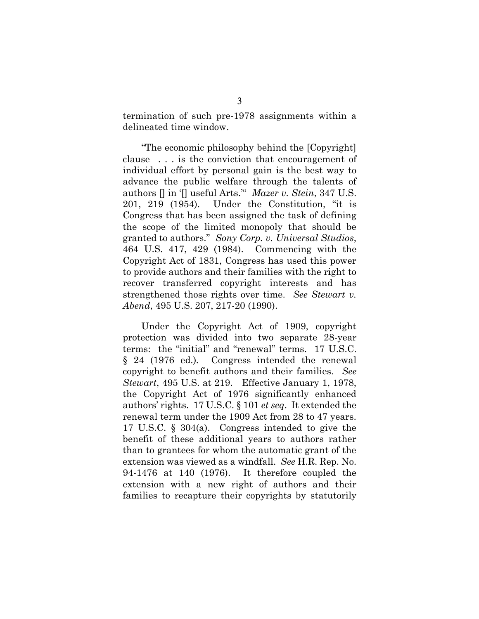termination of such pre-1978 assignments within a delineated time window.

"The economic philosophy behind the [Copyright] clause . . . is the conviction that encouragement of individual effort by personal gain is the best way to advance the public welfare through the talents of authors [] in '[] useful Arts.'" *Mazer v. Stein*, 347 U.S. 201, 219 (1954). Under the Constitution, "it is Congress that has been assigned the task of defining the scope of the limited monopoly that should be granted to authors." *Sony Corp. v. Universal Studios*, 464 U.S. 417, 429 (1984). Commencing with the Copyright Act of 1831, Congress has used this power to provide authors and their families with the right to recover transferred copyright interests and has strengthened those rights over time. *See Stewart v. Abend*, 495 U.S. 207, 217-20 (1990).

Under the Copyright Act of 1909, copyright protection was divided into two separate 28-year terms: the "initial" and "renewal" terms. 17 U.S.C. § 24 (1976 ed.)*.* Congress intended the renewal copyright to benefit authors and their families. *See Stewart*, 495 U.S. at 219. Effective January 1, 1978, the Copyright Act of 1976 significantly enhanced authors' rights. 17 U.S.C. § 101 *et seq*. It extended the renewal term under the 1909 Act from 28 to 47 years. 17 U.S.C. § 304(a). Congress intended to give the benefit of these additional years to authors rather than to grantees for whom the automatic grant of the extension was viewed as a windfall. *See* H.R. Rep. No. 94-1476 at 140 (1976). It therefore coupled the extension with a new right of authors and their families to recapture their copyrights by statutorily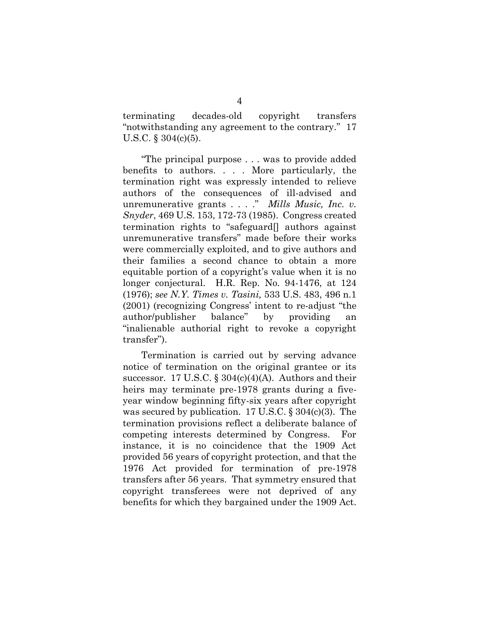terminating decades-old copyright transfers "notwithstanding any agreement to the contrary." 17 U.S.C. § 304(c)(5).

"The principal purpose . . . was to provide added benefits to authors. . . . More particularly, the termination right was expressly intended to relieve authors of the consequences of ill-advised and unremunerative grants . . . ." *Mills Music, Inc. v. Snyder*, 469 U.S. 153, 172-73 (1985). Congress created termination rights to "safeguard[] authors against unremunerative transfers" made before their works were commercially exploited, and to give authors and their families a second chance to obtain a more equitable portion of a copyright's value when it is no longer conjectural. H.R. Rep. No. 94-1476, at 124 (1976); *see N.Y. Times v. Tasini,* 533 U.S. 483, 496 n.1 (2001) (recognizing Congress' intent to re-adjust "the author/publisher balance" by providing an "inalienable authorial right to revoke a copyright transfer").

Termination is carried out by serving advance notice of termination on the original grantee or its successor. 17 U.S.C.  $\S 304(c)(4)(A)$ . Authors and their heirs may terminate pre-1978 grants during a fiveyear window beginning fifty-six years after copyright was secured by publication. 17 U.S.C.  $\S 304(c)(3)$ . The termination provisions reflect a deliberate balance of competing interests determined by Congress. For instance, it is no coincidence that the 1909 Act provided 56 years of copyright protection, and that the 1976 Act provided for termination of pre-1978 transfers after 56 years. That symmetry ensured that copyright transferees were not deprived of any benefits for which they bargained under the 1909 Act.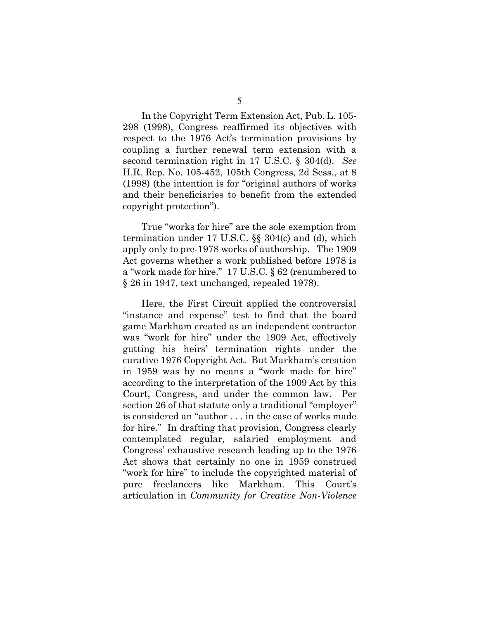In the Copyright Term Extension Act, Pub. L. 105- 298 (1998), Congress reaffirmed its objectives with respect to the 1976 Act's termination provisions by coupling a further renewal term extension with a second termination right in 17 U.S.C. § 304(d). *See*  H.R. Rep. No. 105-452, 105th Congress, 2d Sess., at 8 (1998) (the intention is for "original authors of works and their beneficiaries to benefit from the extended copyright protection").

True "works for hire" are the sole exemption from termination under 17 U.S.C. §§ 304(c) and (d), which apply only to pre-1978 works of authorship. The 1909 Act governs whether a work published before 1978 is a "work made for hire." 17 U.S.C. § 62 (renumbered to § 26 in 1947, text unchanged, repealed 1978).

Here, the First Circuit applied the controversial "instance and expense" test to find that the board game Markham created as an independent contractor was "work for hire" under the 1909 Act, effectively gutting his heirs' termination rights under the curative 1976 Copyright Act. But Markham's creation in 1959 was by no means a "work made for hire" according to the interpretation of the 1909 Act by this Court, Congress, and under the common law. Per section 26 of that statute only a traditional "employer" is considered an "author . . . in the case of works made for hire." In drafting that provision, Congress clearly contemplated regular, salaried employment and Congress' exhaustive research leading up to the 1976 Act shows that certainly no one in 1959 construed "work for hire" to include the copyrighted material of pure freelancers like Markham. This Court's articulation in *Community for Creative Non-Violence*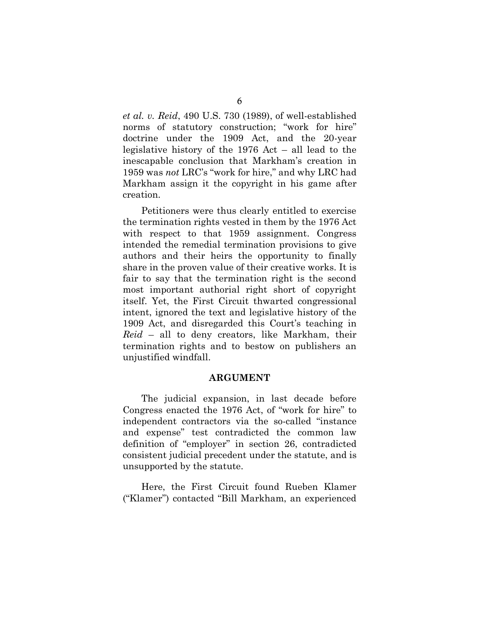*et al. v. Reid*, 490 U.S. 730 (1989), of well-established norms of statutory construction; "work for hire" doctrine under the 1909 Act, and the 20-year legislative history of the 1976 Act – all lead to the inescapable conclusion that Markham's creation in 1959 was *not* LRC's "work for hire," and why LRC had Markham assign it the copyright in his game after creation.

Petitioners were thus clearly entitled to exercise the termination rights vested in them by the 1976 Act with respect to that 1959 assignment. Congress intended the remedial termination provisions to give authors and their heirs the opportunity to finally share in the proven value of their creative works. It is fair to say that the termination right is the second most important authorial right short of copyright itself. Yet, the First Circuit thwarted congressional intent, ignored the text and legislative history of the 1909 Act, and disregarded this Court's teaching in *Reid* – all to deny creators, like Markham, their termination rights and to bestow on publishers an unjustified windfall.

#### **ARGUMENT**

The judicial expansion, in last decade before Congress enacted the 1976 Act, of "work for hire" to independent contractors via the so-called "instance and expense" test contradicted the common law definition of "employer" in section 26, contradicted consistent judicial precedent under the statute, and is unsupported by the statute.

Here, the First Circuit found Rueben Klamer ("Klamer") contacted "Bill Markham, an experienced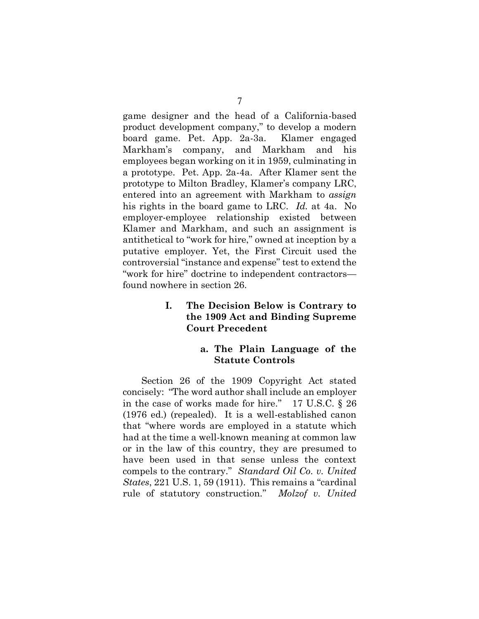game designer and the head of a California-based product development company," to develop a modern board game. Pet. App. 2a-3a. Klamer engaged Markham's company, and Markham and his employees began working on it in 1959, culminating in a prototype. Pet. App. 2a-4a. After Klamer sent the prototype to Milton Bradley, Klamer's company LRC, entered into an agreement with Markham to *assign* his rights in the board game to LRC. *Id.* at 4a. No employer-employee relationship existed between Klamer and Markham, and such an assignment is antithetical to "work for hire," owned at inception by a putative employer. Yet, the First Circuit used the controversial "instance and expense" test to extend the "work for hire" doctrine to independent contractors found nowhere in section 26.

### **I. The Decision Below is Contrary to the 1909 Act and Binding Supreme Court Precedent**

### **a. The Plain Language of the Statute Controls**

Section 26 of the 1909 Copyright Act stated concisely: "The word author shall include an employer in the case of works made for hire." 17 U.S.C. § 26 (1976 ed.) (repealed). It is a well-established canon that "where words are employed in a statute which had at the time a well-known meaning at common law or in the law of this country, they are presumed to have been used in that sense unless the context compels to the contrary." *Standard Oil Co. v. United States*, 221 U.S. 1, 59 (1911). This remains a "cardinal rule of statutory construction." *Molzof v. United*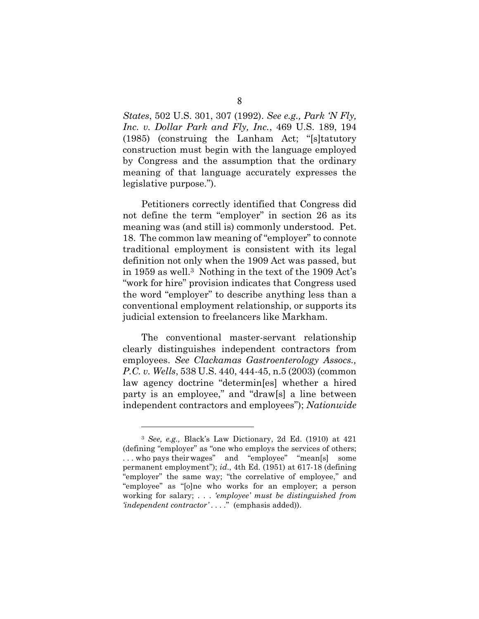*States*, 502 U.S. 301, 307 (1992). *See e.g., Park 'N Fly, Inc. v. Dollar Park and Fly, Inc.*, 469 U.S. 189, 194 (1985) (construing the Lanham Act; "[s]tatutory construction must begin with the language employed by Congress and the assumption that the ordinary meaning of that language accurately expresses the legislative purpose.").

Petitioners correctly identified that Congress did not define the term "employer" in section 26 as its meaning was (and still is) commonly understood. Pet. 18. The common law meaning of "employer" to connote traditional employment is consistent with its legal definition not only when the 1909 Act was passed, but in 1959 as well.3 Nothing in the text of the 1909 Act's "work for hire" provision indicates that Congress used the word "employer" to describe anything less than a conventional employment relationship, or supports its judicial extension to freelancers like Markham.

The conventional master-servant relationship clearly distinguishes independent contractors from employees. *See Clackamas Gastroenterology Assocs., P.C. v. Wells*, 538 U.S. 440, 444-45, n.5 (2003) (common law agency doctrine "determin[es] whether a hired party is an employee," and "draw[s] a line between independent contractors and employees"); *Nationwide* 

<sup>3</sup> *See, e.g.,* Black's Law Dictionary, 2d Ed. (1910) at 421 (defining "employer" as "one who employs the services of others; . . . who pays their wages" and "employee" "mean[s] some permanent employment"); *id*., 4th Ed. (1951) at 617-18 (defining "employer" the same way; "the correlative of employee," and "employee" as "[o]ne who works for an employer; a person working for salary; . . . *'employee' must be distinguished from 'independent contractor' . . . .*" (emphasis added)).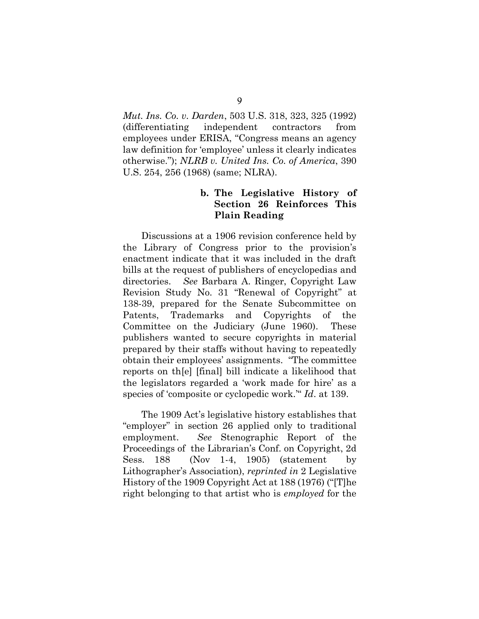*Mut. Ins. Co. v. Darden*, 503 U.S. 318, 323, 325 (1992) (differentiating independent contractors from employees under ERISA, "Congress means an agency law definition for 'employee' unless it clearly indicates otherwise."); *NLRB v. United Ins. Co. of America*, 390 U.S. 254, 256 (1968) (same; NLRA).

# **b. The Legislative History of Section 26 Reinforces This Plain Reading**

Discussions at a 1906 revision conference held by the Library of Congress prior to the provision's enactment indicate that it was included in the draft bills at the request of publishers of encyclopedias and directories. *See* Barbara A. Ringer, Copyright Law Revision Study No. 31 "Renewal of Copyright" at 138-39, prepared for the Senate Subcommittee on Patents, Trademarks and Copyrights of the Committee on the Judiciary (June 1960). These publishers wanted to secure copyrights in material prepared by their staffs without having to repeatedly obtain their employees' assignments. "The committee reports on th[e] [final] bill indicate a likelihood that the legislators regarded a 'work made for hire' as a species of 'composite or cyclopedic work.'" *Id*. at 139.

The 1909 Act's legislative history establishes that "employer" in section 26 applied only to traditional employment. *See* Stenographic Report of the Proceedings of the Librarian's Conf. on Copyright, 2d Sess. 188 (Nov 1-4, 1905) (statement by Lithographer's Association), *reprinted in* 2 Legislative History of the 1909 Copyright Act at 188 (1976) ("[T]he right belonging to that artist who is *employed* for the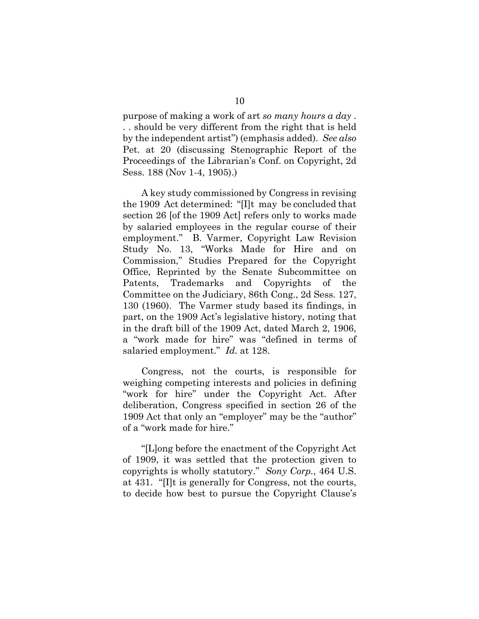purpose of making a work of art *so many hours a day* . . . should be very different from the right that is held by the independent artist") (emphasis added). *See also* Pet. at 20 (discussing Stenographic Report of the Proceedings of the Librarian's Conf. on Copyright, 2d Sess. 188 (Nov 1-4, 1905).)

A key study commissioned by Congress in revising the 1909 Act determined: "[I]t may be concluded that section 26 [of the 1909 Act] refers only to works made by salaried employees in the regular course of their employment." B. Varmer, Copyright Law Revision Study No. 13, "Works Made for Hire and on Commission," Studies Prepared for the Copyright Office, Reprinted by the Senate Subcommittee on Patents, Trademarks and Copyrights of the Committee on the Judiciary, 86th Cong., 2d Sess. 127, 130 (1960). The Varmer study based its findings, in part, on the 1909 Act's legislative history, noting that in the draft bill of the 1909 Act, dated March 2, 1906, a "work made for hire" was "defined in terms of salaried employment." *Id.* at 128.

Congress, not the courts, is responsible for weighing competing interests and policies in defining "work for hire" under the Copyright Act. After deliberation, Congress specified in section 26 of the 1909 Act that only an "employer" may be the "author" of a "work made for hire."

"[L]ong before the enactment of the Copyright Act of 1909, it was settled that the protection given to copyrights is wholly statutory." *Sony Corp.*, 464 U.S. at 431. "[I]t is generally for Congress, not the courts, to decide how best to pursue the Copyright Clause's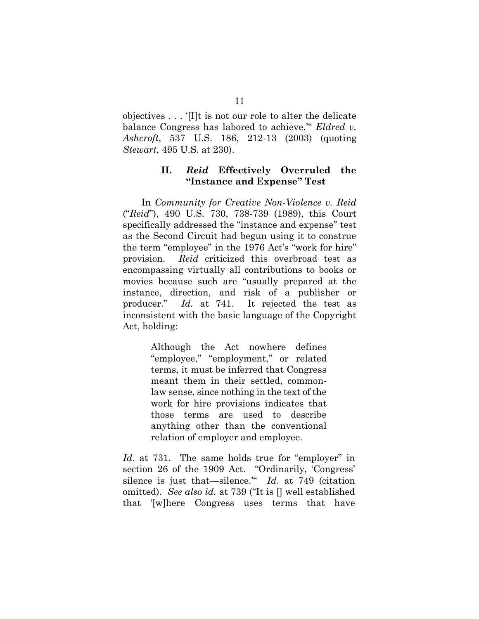objectives . . . '[I]t is not our role to alter the delicate balance Congress has labored to achieve.'" *Eldred v. Ashcroft*, 537 U.S. 186, 212-13 (2003) (quoting *Stewart*, 495 U.S. at 230).

### **II.** *Reid* **Effectively Overruled the "Instance and Expense" Test**

In *Community for Creative Non-Violence v. Reid*  ("*Reid*"), 490 U.S. 730, 738-739 (1989), this Court specifically addressed the "instance and expense" test as the Second Circuit had begun using it to construe the term "employee" in the 1976 Act's "work for hire" provision. *Reid* criticized this overbroad test as encompassing virtually all contributions to books or movies because such are "usually prepared at the instance, direction, and risk of a publisher or producer." *Id.* at 741. It rejected the test as inconsistent with the basic language of the Copyright Act, holding:

> Although the Act nowhere defines "employee," "employment," or related terms, it must be inferred that Congress meant them in their settled, commonlaw sense, since nothing in the text of the work for hire provisions indicates that those terms are used to describe anything other than the conventional relation of employer and employee.

*Id.* at 731. The same holds true for "employer" in section 26 of the 1909 Act. "Ordinarily, 'Congress' silence is just that—silence.'" *Id*. at 749 (citation omitted). *See also id.* at 739 ("It is [] well established that '[w]here Congress uses terms that have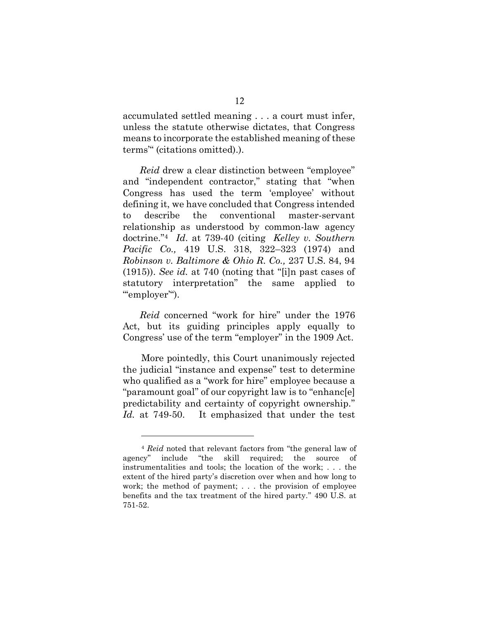accumulated settled meaning . . . a court must infer, unless the statute otherwise dictates, that Congress means to incorporate the established meaning of these terms'" (citations omitted).).

*Reid* drew a clear distinction between "employee" and "independent contractor," stating that "when Congress has used the term 'employee' without defining it, we have concluded that Congress intended to describe the conventional master-servant relationship as understood by common-law agency doctrine." <sup>4</sup> *Id*. at 739-40 (citing *Kelley v. Southern Pacific Co.,* 419 U.S. 318, 322–323 (1974) and *Robinson v. Baltimore & Ohio R. Co.,* 237 U.S. 84, 94 (1915)). *See id.* at 740 (noting that "[i]n past cases of statutory interpretation" the same applied to "'employer".

*Reid* concerned "work for hire" under the 1976 Act, but its guiding principles apply equally to Congress' use of the term "employer" in the 1909 Act.

More pointedly, this Court unanimously rejected the judicial "instance and expense" test to determine who qualified as a "work for hire" employee because a "paramount goal" of our copyright law is to "enhanc[e] predictability and certainty of copyright ownership." *Id.* at 749-50. It emphasized that under the test

<sup>4</sup> *Reid* noted that relevant factors from "the general law of agency" include "the skill required; the source of instrumentalities and tools; the location of the work; . . . the extent of the hired party's discretion over when and how long to work; the method of payment; . . . the provision of employee benefits and the tax treatment of the hired party." 490 U.S. at 751-52.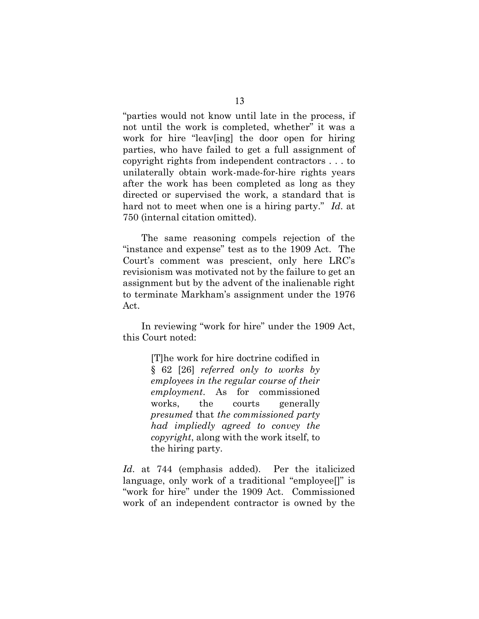"parties would not know until late in the process, if not until the work is completed, whether" it was a work for hire "leav[ing] the door open for hiring parties, who have failed to get a full assignment of copyright rights from independent contractors . . . to unilaterally obtain work-made-for-hire rights years after the work has been completed as long as they directed or supervised the work, a standard that is hard not to meet when one is a hiring party." *Id*. at 750 (internal citation omitted).

The same reasoning compels rejection of the "instance and expense" test as to the 1909 Act. The Court's comment was prescient, only here LRC's revisionism was motivated not by the failure to get an assignment but by the advent of the inalienable right to terminate Markham's assignment under the 1976 Act.

In reviewing "work for hire" under the 1909 Act, this Court noted:

> [T]he work for hire doctrine codified in § 62 [26] *referred only to works by employees in the regular course of their employment*. As for commissioned works, the courts generally *presumed* that *the commissioned party had impliedly agreed to convey the copyright*, along with the work itself, to the hiring party*.*

*Id*. at 744 (emphasis added). Per the italicized language, only work of a traditional "employee[]" is "work for hire" under the 1909 Act. Commissioned work of an independent contractor is owned by the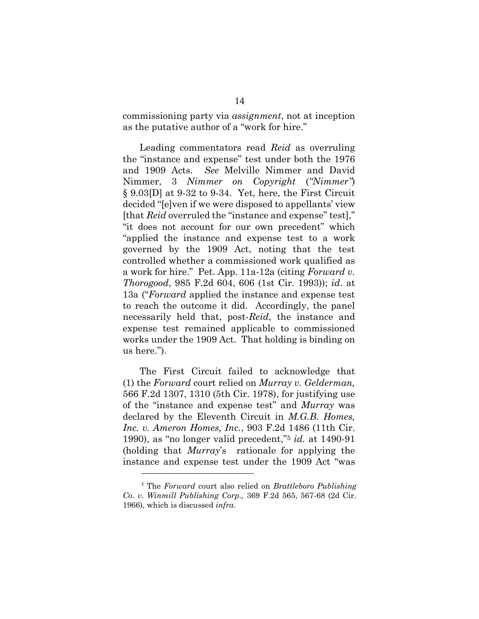commissioning party via *assignment*, not at inception as the putative author of a "work for hire."

Leading commentators read *Reid* as overruling the "instance and expense" test under both the 1976 and 1909 Acts. *See* Melville Nimmer and David Nimmer, 3 *Nimmer on Copyright* (*"Nimmer"*) § 9.03[D] at 9-32 to 9-34. Yet, here, the First Circuit decided "[e]ven if we were disposed to appellants' view [that *Reid* overruled the "instance and expense" test]," "it does not account for our own precedent" which "applied the instance and expense test to a work governed by the 1909 Act, noting that the test controlled whether a commissioned work qualified as a work for hire." Pet. App. 11a-12a (citing *Forward v. Thorogood*, 985 F.2d 604, 606 (1st Cir. 1993)); *id.* at 13a ("*Forward* applied the instance and expense test to reach the outcome it did. Accordingly, the panel necessarily held that, post-*Reid*, the instance and expense test remained applicable to commissioned works under the 1909 Act. That holding is binding on us here.").

The First Circuit failed to acknowledge that (1) the *Forward* court relied on *Murray v. Gelderman,* 566 F.2d 1307, 1310 (5th Cir. 1978), for justifying use of the "instance and expense test" and *Murray* was declared by the Eleventh Circuit in *M.G.B. Homes, Inc. v. Ameron Homes, Inc.*, 903 F.2d 1486 (11th Cir. 1990), as "no longer valid precedent," <sup>5</sup> *id.* at 1490-91 (holding that *Murray*'s rationale for applying the instance and expense test under the 1909 Act "was

<sup>5</sup> The *Forward* court also relied on *Brattleboro Publishing Co. v. Winmill Publishing Corp.,* 369 F.2d 565, 567-68 (2d Cir. 1966), which is discussed *infra*.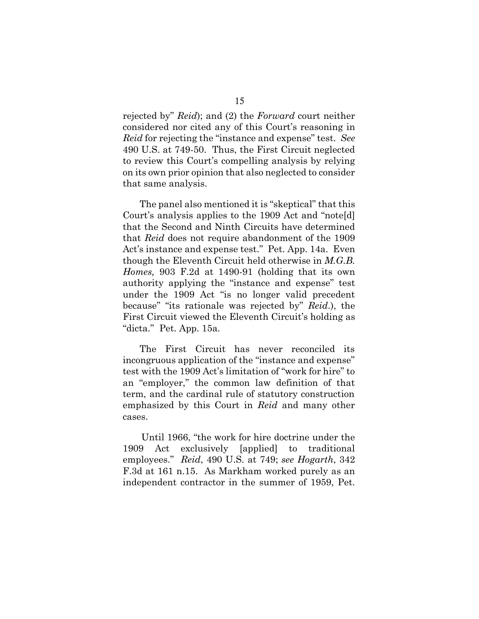rejected by" *Reid*); and (2) the *Forward* court neither considered nor cited any of this Court's reasoning in *Reid* for rejecting the "instance and expense" test. *See* 490 U.S. at 749-50. Thus, the First Circuit neglected to review this Court's compelling analysis by relying on its own prior opinion that also neglected to consider that same analysis.

The panel also mentioned it is "skeptical" that this Court's analysis applies to the 1909 Act and "note[d] that the Second and Ninth Circuits have determined that *Reid* does not require abandonment of the 1909 Act's instance and expense test." Pet. App. 14a. Even though the Eleventh Circuit held otherwise in *M.G.B. Homes,* 903 F.2d at 1490-91 (holding that its own authority applying the "instance and expense" test under the 1909 Act "is no longer valid precedent because" "its rationale was rejected by" *Reid*.), the First Circuit viewed the Eleventh Circuit's holding as "dicta." Pet. App. 15a.

The First Circuit has never reconciled its incongruous application of the "instance and expense" test with the 1909 Act's limitation of "work for hire" to an "employer," the common law definition of that term, and the cardinal rule of statutory construction emphasized by this Court in *Reid* and many other cases.

Until 1966, "the work for hire doctrine under the 1909 Act exclusively [applied] to traditional employees." *Reid*, 490 U.S. at 749; *see Hogarth*, 342 F.3d at 161 n.15. As Markham worked purely as an independent contractor in the summer of 1959, Pet.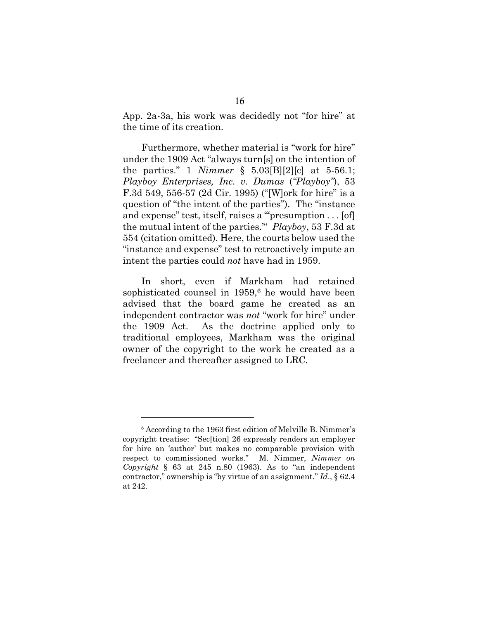App. 2a-3a, his work was decidedly not "for hire" at the time of its creation.

Furthermore, whether material is "work for hire" under the 1909 Act "always turn[s] on the intention of the parties." 1 *Nimmer* § 5.03[B][2][c] at 5-56.1; *Playboy Enterprises, Inc. v. Dumas* (*"Playboy"*), 53 F.3d 549, 556-57 (2d Cir. 1995) ("[W]ork for hire" is a question of "the intent of the parties"). The "instance and expense" test, itself, raises a "'presumption . . . [of] the mutual intent of the parties.'" *Playboy*, 53 F.3d at 554 (citation omitted). Here, the courts below used the "instance and expense" test to retroactively impute an intent the parties could *not* have had in 1959.

In short, even if Markham had retained sophisticated counsel in  $1959<sup>6</sup>$  he would have been advised that the board game he created as an independent contractor was *not* "work for hire" under the 1909 Act. As the doctrine applied only to traditional employees, Markham was the original owner of the copyright to the work he created as a freelancer and thereafter assigned to LRC.

<sup>6</sup> According to the 1963 first edition of Melville B. Nimmer's copyright treatise: "Sec[tion] 26 expressly renders an employer for hire an 'author' but makes no comparable provision with respect to commissioned works." M. Nimmer, *Nimmer on Copyright* § 63 at 245 n.80 (1963). As to "an independent contractor," ownership is "by virtue of an assignment." *Id*., § 62.4 at 242.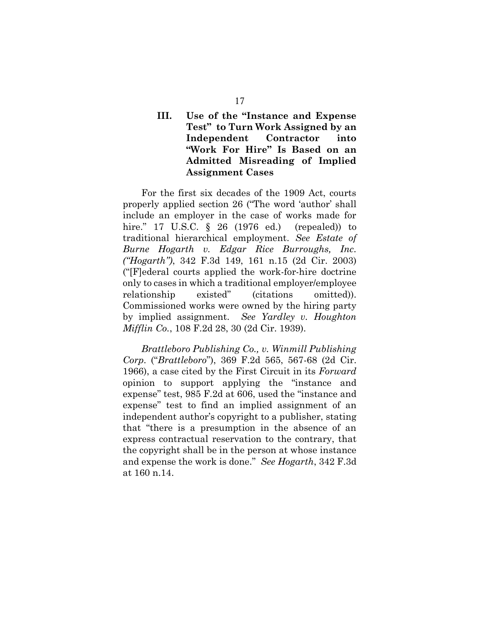# **III. Use of the "Instance and Expense Test" to Turn Work Assigned by an Independent Contractor into "Work For Hire" Is Based on an Admitted Misreading of Implied Assignment Cases**

For the first six decades of the 1909 Act, courts properly applied section 26 ("The word 'author' shall include an employer in the case of works made for hire." 17 U.S.C. § 26 (1976 ed.) (repealed)) to traditional hierarchical employment. *See Estate of Burne Hogarth v. Edgar Rice Burroughs, Inc. ("Hogarth")*, 342 F.3d 149, 161 n.15 (2d Cir. 2003) ("[F]ederal courts applied the work-for-hire doctrine only to cases in which a traditional employer/employee relationship existed" (citations omitted)). Commissioned works were owned by the hiring party by implied assignment. *See Yardley v. Houghton Mifflin Co.*, 108 F.2d 28, 30 (2d Cir. 1939).

*Brattleboro Publishing Co., v. Winmill Publishing Corp*. ("*Brattleboro*"), 369 F.2d 565, 567-68 (2d Cir. 1966), a case cited by the First Circuit in its *Forward* opinion to support applying the "instance and expense" test, 985 F.2d at 606, used the "instance and expense" test to find an implied assignment of an independent author's copyright to a publisher, stating that "there is a presumption in the absence of an express contractual reservation to the contrary, that the copyright shall be in the person at whose instance and expense the work is done." *See Hogarth*, 342 F.3d at 160 n.14.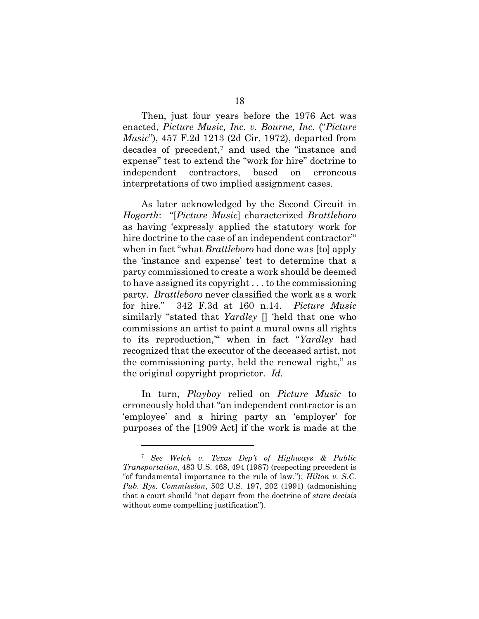Then, just four years before the 1976 Act was enacted, *Picture Music, Inc. v. Bourne, Inc.* ("*Picture Music*"), 457 F.2d 1213 (2d Cir. 1972), departed from decades of precedent,<sup>7</sup> and used the "instance and expense" test to extend the "work for hire" doctrine to independent contractors, based on erroneous interpretations of two implied assignment cases.

As later acknowledged by the Second Circuit in *Hogarth*: "[*Picture Music*] characterized *Brattleboro* as having 'expressly applied the statutory work for hire doctrine to the case of an independent contractor" when in fact "what *Brattleboro* had done was [to] apply the 'instance and expense' test to determine that a party commissioned to create a work should be deemed to have assigned its copyright . . . to the commissioning party. *Brattleboro* never classified the work as a work for hire." 342 F.3d at 160 n.14. *Picture Music* similarly "stated that *Yardley* [] 'held that one who commissions an artist to paint a mural owns all rights to its reproduction,'" when in fact "*Yardley* had recognized that the executor of the deceased artist, not the commissioning party, held the renewal right," as the original copyright proprietor. *Id.*

In turn, *Playboy* relied on *Picture Music* to erroneously hold that "an independent contractor is an 'employee' and a hiring party an 'employer' for purposes of the [1909 Act] if the work is made at the

<sup>7</sup> *See Welch v. Texas Dep't of Highways & Public Transportation*, 483 U.S. 468, 494 (1987) (respecting precedent is "of fundamental importance to the rule of law."); *Hilton v. S.C. Pub. Rys. Commission*, 502 U.S. 197, 202 (1991) (admonishing that a court should "not depart from the doctrine of *stare decisis*  without some compelling justification").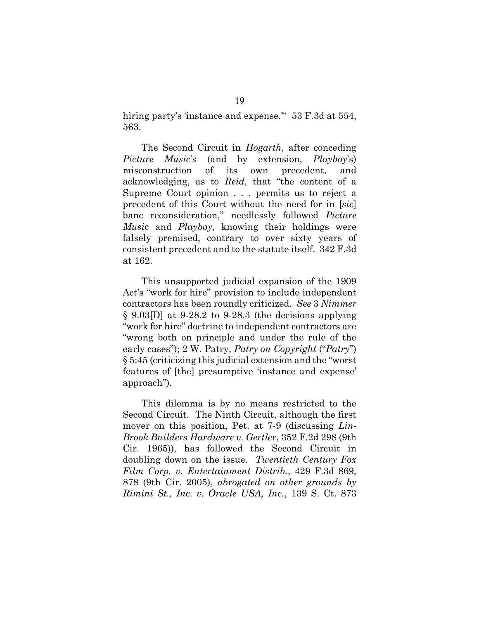hiring party's 'instance and expense." 53 F.3d at 554, 563.

The Second Circuit in *Hogarth*, after conceding *Picture Music*'s (and by extension, *Playboy*'s) misconstruction of its own precedent, and acknowledging, as to *Reid*, that "the content of a Supreme Court opinion . . . permits us to reject a precedent of this Court without the need for in [*sic*] banc reconsideration," needlessly followed *Picture Musi*c and *Playboy*, knowing their holdings were falsely premised, contrary to over sixty years of consistent precedent and to the statute itself. 342 F.3d at 162.

This unsupported judicial expansion of the 1909 Act's "work for hire" provision to include independent contractors has been roundly criticized. *See* 3 *Nimmer*  § 9.03[D] at 9-28.2 to 9-28.3 (the decisions applying "work for hire" doctrine to independent contractors are "wrong both on principle and under the rule of the early cases"); 2 W. Patry, *Patry on Copyright* ("*Patry*") § 5:45 (criticizing this judicial extension and the "worst features of [the] presumptive 'instance and expense' approach").

This dilemma is by no means restricted to the Second Circuit. The Ninth Circuit, although the first mover on this position, Pet. at 7-9 (discussing *Lin-Brook Builders Hardware v. Gertler*, 352 F.2d 298 (9th Cir. 1965)), has followed the Second Circuit in doubling down on the issue. *Twentieth Century Fox Film Corp. v. Entertainment Distrib.*, 429 F.3d 869, 878 (9th Cir. 2005), *abrogated on other grounds by Rimini St., Inc. v. Oracle USA, Inc.*, 139 S. Ct. 873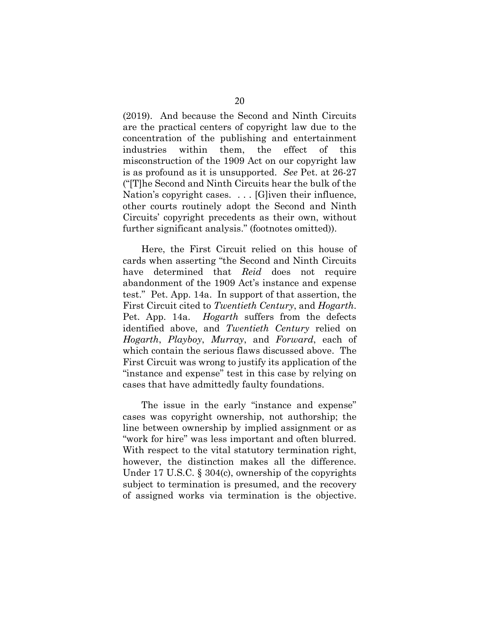(2019). And because the Second and Ninth Circuits are the practical centers of copyright law due to the concentration of the publishing and entertainment industries within them, the effect of this misconstruction of the 1909 Act on our copyright law is as profound as it is unsupported. *See* Pet. at 26-27 ("[T]he Second and Ninth Circuits hear the bulk of the Nation's copyright cases. . . . [G]iven their influence, other courts routinely adopt the Second and Ninth Circuits' copyright precedents as their own, without further significant analysis." (footnotes omitted)).

Here, the First Circuit relied on this house of cards when asserting "the Second and Ninth Circuits have determined that *Reid* does not require abandonment of the 1909 Act's instance and expense test." Pet. App. 14a. In support of that assertion, the First Circuit cited to *Twentieth Century*, and *Hogarth*. Pet. App. 14a. *Hogarth* suffers from the defects identified above, and *Twentieth Century* relied on *Hogarth*, *Playboy*, *Murray*, and *Forward*, each of which contain the serious flaws discussed above. The First Circuit was wrong to justify its application of the "instance and expense" test in this case by relying on cases that have admittedly faulty foundations.

The issue in the early "instance and expense" cases was copyright ownership, not authorship; the line between ownership by implied assignment or as "work for hire" was less important and often blurred. With respect to the vital statutory termination right, however, the distinction makes all the difference. Under 17 U.S.C. § 304(c), ownership of the copyrights subject to termination is presumed, and the recovery of assigned works via termination is the objective.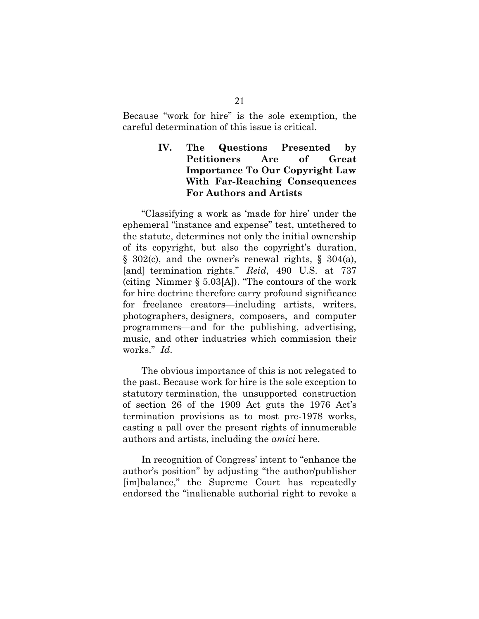Because "work for hire" is the sole exemption, the careful determination of this issue is critical.

# **IV. The Questions Presented by Petitioners Are of Great Importance To Our Copyright Law With Far-Reaching Consequences For Authors and Artists**

"Classifying a work as 'made for hire' under the ephemeral "instance and expense" test, untethered to the statute, determines not only the initial ownership of its copyright, but also the copyright's duration, § 302(c), and the owner's renewal rights, § 304(a), [and] termination rights." *[Reid](http://www.westlaw.com/Find/Default.wl?rs=dfa1.0&vr=2.0&DB=780&FindType=Y&ReferencePositionType=S&SerialNum=1989082504&ReferencePosition=737)*[,](http://www.westlaw.com/Find/Default.wl?rs=dfa1.0&vr=2.0&DB=780&FindType=Y&ReferencePositionType=S&SerialNum=1989082504&ReferencePosition=737) 490 [U.S.](http://www.westlaw.com/Find/Default.wl?rs=dfa1.0&vr=2.0&DB=780&FindType=Y&ReferencePositionType=S&SerialNum=1989082504&ReferencePosition=737) at 737 (citing Nimmer § 5.03[A]). "The contours of the work for hire doctrine therefore carry profound significance for freelance creators—including artists, writers, photographers, designers, composers, and computer programmers—and for the publishing, advertising, music, and other industries which commission their works." *Id*.

The obvious importance of this is not relegated to the past. Because work for hire is the sole exception to statutory termination, the unsupported construction of section 26 of the 1909 Act guts the 1976 Act's termination provisions as to most pre-1978 works, casting a pall over the present rights of innumerable authors and artists, including the *amici* here.

In recognition of Congress' intent to "enhance the author's position" by adjusting "the author/publisher [im]balance," the Supreme Court has repeatedly endorsed the "inalienable authorial right to revoke a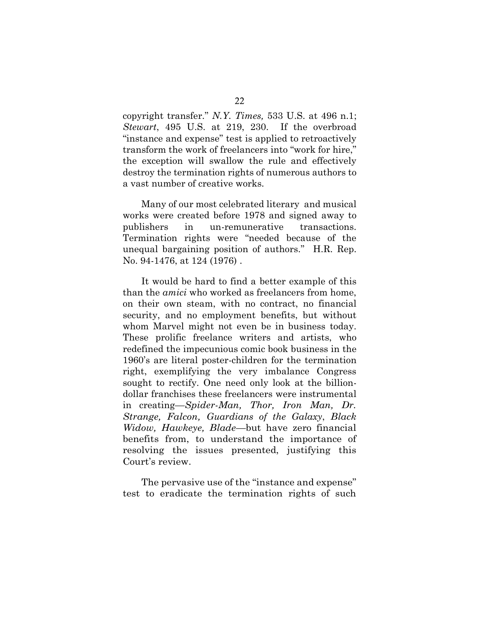copyright transfer." *N.Y. Times,* 533 U.S. at 496 n.1; *Stewart*, 495 U.S. at 219, 230. If the overbroad "instance and expense" test is applied to retroactively transform the work of freelancers into "work for hire," the exception will swallow the rule and effectively destroy the termination rights of numerous authors to a vast number of creative works.

Many of our most celebrated literary and musical works were created before 1978 and signed away to publishers in un-remunerative transactions. Termination rights were "needed because of the unequal bargaining position of authors." H.R. Rep. No. 94-1476, at 124 (1976) .

It would be hard to find a better example of this than the *amici* who worked as freelancers from home, on their own steam, with no contract, no financial security, and no employment benefits, but without whom Marvel might not even be in business today. These prolific freelance writers and artists, who redefined the impecunious comic book business in the 1960's are literal poster-children for the termination right, exemplifying the very imbalance Congress sought to rectify. One need only look at the billiondollar franchises these freelancers were instrumental in creating—*Spider-Man, Thor, Iron Man, Dr. Strange, Falcon, Guardians of the Galaxy*, *Black Widow, Hawkeye, Blade*—but have zero financial benefits from, to understand the importance of resolving the issues presented, justifying this Court's review.

The pervasive use of the "instance and expense" test to eradicate the termination rights of such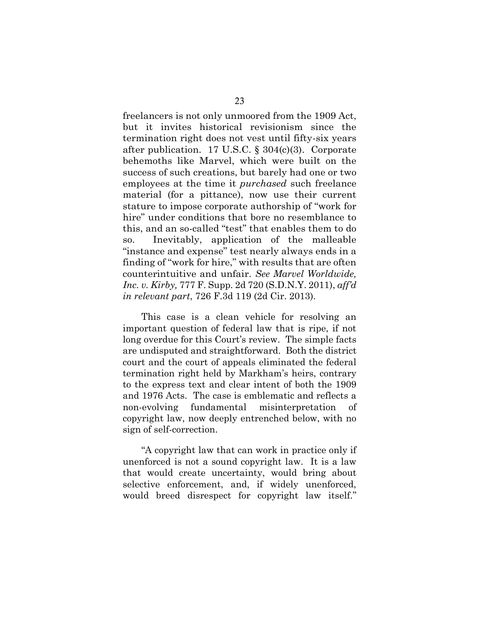freelancers is not only unmoored from the 1909 Act, but it invites historical revisionism since the termination right does not vest until fifty-six years after publication. 17 U.S.C. § 304(c)(3). Corporate behemoths like Marvel, which were built on the success of such creations, but barely had one or two employees at the time it *purchased* such freelance material (for a pittance), now use their current stature to impose corporate authorship of "work for hire" under conditions that bore no resemblance to this, and an so-called "test" that enables them to do so. Inevitably, application of the malleable "instance and expense" test nearly always ends in a finding of "work for hire," with results that are often counterintuitive and unfair. *See Marvel Worldwide, Inc. v. Kirby,* 777 F. Supp. 2d 720 (S.D.N.Y. 2011), *aff'd in relevant part*, 726 F.3d 119 (2d Cir. 2013).

This case is a clean vehicle for resolving an important question of federal law that is ripe, if not long overdue for this Court's review. The simple facts are undisputed and straightforward. Both the district court and the court of appeals eliminated the federal termination right held by Markham's heirs, contrary to the express text and clear intent of both the 1909 and 1976 Acts. The case is emblematic and reflects a non-evolving fundamental misinterpretation of copyright law, now deeply entrenched below, with no sign of self-correction.

"A copyright law that can work in practice only if unenforced is not a sound copyright law. It is a law that would create uncertainty, would bring about selective enforcement, and, if widely unenforced, would breed disrespect for copyright law itself."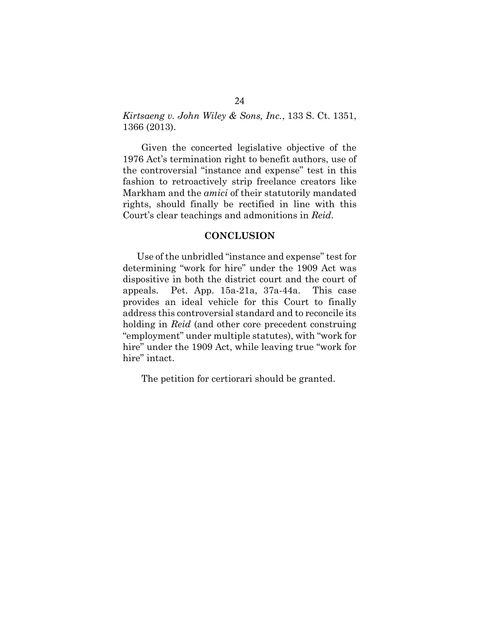*Kirtsaeng v. John Wiley & Sons, Inc.*, 133 S. Ct. 1351, 1366 (2013).

Given the concerted legislative objective of the 1976 Act's termination right to benefit authors, use of the controversial "instance and expense" test in this fashion to retroactively strip freelance creators like Markham and the *amici* of their statutorily mandated rights, should finally be rectified in line with this Court's clear teachings and admonitions in *Reid*.

#### **CONCLUSION**

Use of the unbridled "instance and expense" test for determining "work for hire" under the 1909 Act was dispositive in both the district court and the court of appeals. Pet. App. 15a-21a, 37a-44a. This case provides an ideal vehicle for this Court to finally address this controversial standard and to reconcile its holding in *Reid* (and other core precedent construing "employment" under multiple statutes), with "work for hire" under the 1909 Act, while leaving true "work for hire" intact.

The petition for certiorari should be granted.